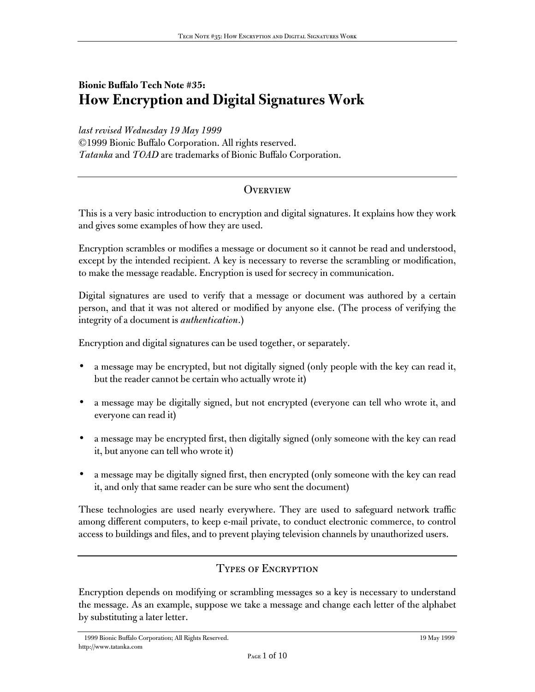# **Bionic Buffalo Tech Note #35: How Encryption and Digital Signatures Work**

*last revised Wednesday 19 May 1999* ©1999 Bionic Buffalo Corporation. All rights reserved. *Tatanka* and *TOAD* are trademarks of Bionic Buffalo Corporation.

### **OVERVIEW**

This is a very basic introduction to encryption and digital signatures. It explains how they work and gives some examples of how they are used.

Encryption scrambles or modifies a message or document so it cannot be read and understood, except by the intended recipient. A key is necessary to reverse the scrambling or modification, to make the message readable. Encryption is used for secrecy in communication.

Digital signatures are used to verify that a message or document was authored by a certain person, and that it was not altered or modified by anyone else. (The process of verifying the integrity of a document is *authentication*.)

Encryption and digital signatures can be used together, or separately.

- a message may be encrypted, but not digitally signed (only people with the key can read it, but the reader cannot be certain who actually wrote it)
- a message may be digitally signed, but not encrypted (everyone can tell who wrote it, and everyone can read it)
- a message may be encrypted first, then digitally signed (only someone with the key can read it, but anyone can tell who wrote it)
- a message may be digitally signed first, then encrypted (only someone with the key can read it, and only that same reader can be sure who sent the document)

These technologies are used nearly everywhere. They are used to safeguard network traffic among different computers, to keep e-mail private, to conduct electronic commerce, to control access to buildings and files, and to prevent playing television channels by unauthorized users.

### Types of Encryption

Encryption depends on modifying or scrambling messages so a key is necessary to understand the message. As an example, suppose we take a message and change each letter of the alphabet by substituting a later letter.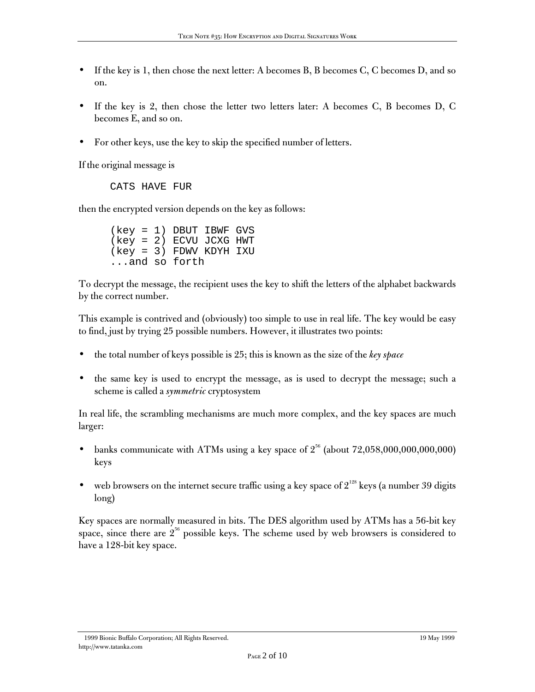- If the key is 1, then chose the next letter: A becomes B, B becomes C, C becomes D, and so on.
- If the key is 2, then chose the letter two letters later: A becomes C, B becomes D, C becomes E, and so on.
- For other keys, use the key to skip the specified number of letters.

If the original message is

CATS HAVE FUR

then the encrypted version depends on the key as follows:

(key = 1) DBUT IBWF GVS (key = 2) ECVU JCXG HWT (key = 3) FDWV KDYH IXU ...and so forth

To decrypt the message, the recipient uses the key to shift the letters of the alphabet backwards by the correct number.

This example is contrived and (obviously) too simple to use in real life. The key would be easy to find, just by trying 25 possible numbers. However, it illustrates two points:

- the total number of keys possible is 25; this is known as the size of the *key space*
- the same key is used to encrypt the message, as is used to decrypt the message; such a scheme is called a *symmetric* cryptosystem

In real life, the scrambling mechanisms are much more complex, and the key spaces are much larger:

- banks communicate with ATMs using a key space of  $2^{56}$  (about  $72,058,000,000,000,000$ ) keys
- web browsers on the internet secure traffic using a key space of  $2^{128}$  keys (a number 39 digits long)

Key spaces are normally measured in bits. The DES algorithm used by ATMs has a 56-bit key space, since there are  $2^{56}$  possible keys. The scheme used by web browsers is considered to have a 128-bit key space.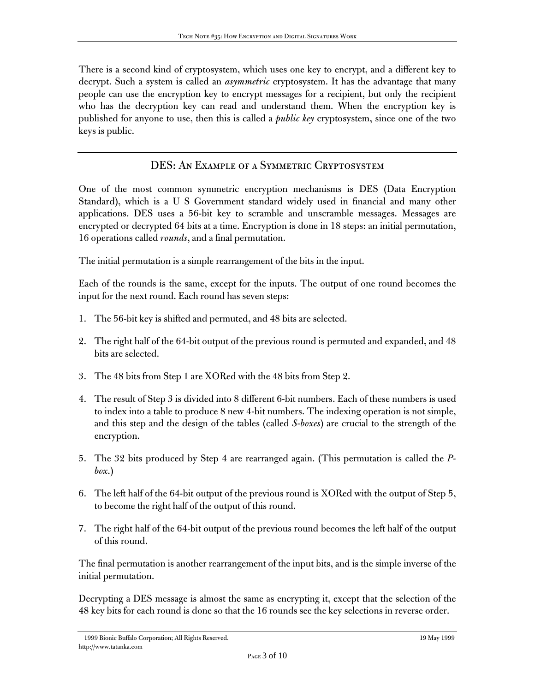There is a second kind of cryptosystem, which uses one key to encrypt, and a different key to decrypt. Such a system is called an *asymmetric* cryptosystem. It has the advantage that many people can use the encryption key to encrypt messages for a recipient, but only the recipient who has the decryption key can read and understand them. When the encryption key is published for anyone to use, then this is called a *public key* cryptosystem, since one of the two keys is public.

## DES: An Example of a Symmetric Cryptosystem

One of the most common symmetric encryption mechanisms is DES (Data Encryption Standard), which is a U S Government standard widely used in financial and many other applications. DES uses a 56-bit key to scramble and unscramble messages. Messages are encrypted or decrypted 64 bits at a time. Encryption is done in 18 steps: an initial permutation, 16 operations called *rounds*, and a final permutation.

The initial permutation is a simple rearrangement of the bits in the input.

Each of the rounds is the same, except for the inputs. The output of one round becomes the input for the next round. Each round has seven steps:

- 1. The 56-bit key is shifted and permuted, and 48 bits are selected.
- 2. The right half of the 64-bit output of the previous round is permuted and expanded, and 48 bits are selected.
- 3. The 48 bits from Step 1 are XORed with the 48 bits from Step 2.
- 4. The result of Step 3 is divided into 8 different 6-bit numbers. Each of these numbers is used to index into a table to produce 8 new 4-bit numbers. The indexing operation is not simple, and this step and the design of the tables (called *S-boxes*) are crucial to the strength of the encryption.
- 5. The 32 bits produced by Step 4 are rearranged again. (This permutation is called the *Pbox*.)
- 6. The left half of the 64-bit output of the previous round is XORed with the output of Step 5, to become the right half of the output of this round.
- 7. The right half of the 64-bit output of the previous round becomes the left half of the output of this round.

The final permutation is another rearrangement of the input bits, and is the simple inverse of the initial permutation.

Decrypting a DES message is almost the same as encrypting it, except that the selection of the 48 key bits for each round is done so that the 16 rounds see the key selections in reverse order.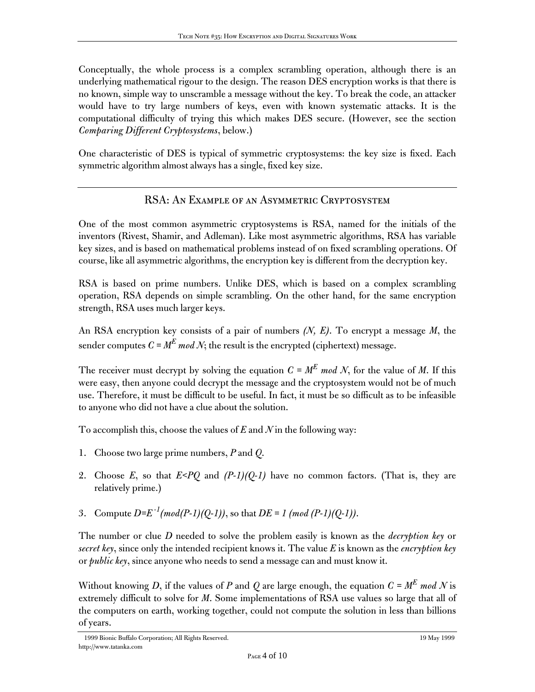Conceptually, the whole process is a complex scrambling operation, although there is an underlying mathematical rigour to the design. The reason DES encryption works is that there is no known, simple way to unscramble a message without the key. To break the code, an attacker would have to try large numbers of keys, even with known systematic attacks. It is the computational difficulty of trying this which makes DES secure. (However, see the section *Comparing Different Cryptosystems*, below.)

One characteristic of DES is typical of symmetric cryptosystems: the key size is fixed. Each symmetric algorithm almost always has a single, fixed key size.

## RSA: An Example of an Asymmetric Cryptosystem

One of the most common asymmetric cryptosystems is RSA, named for the initials of the inventors (Rivest, Shamir, and Adleman). Like most asymmetric algorithms, RSA has variable key sizes, and is based on mathematical problems instead of on fixed scrambling operations. Of course, like all asymmetric algorithms, the encryption key is different from the decryption key.

RSA is based on prime numbers. Unlike DES, which is based on a complex scrambling operation, RSA depends on simple scrambling. On the other hand, for the same encryption strength, RSA uses much larger keys.

An RSA encryption key consists of a pair of numbers *(N, E)*. To encrypt a message *M*, the sender computes  $C = M^E \mod N$ ; the result is the encrypted (ciphertext) message.

The receiver must decrypt by solving the equation  $C = M^E$  mod N, for the value of M. If this were easy, then anyone could decrypt the message and the cryptosystem would not be of much use. Therefore, it must be difficult to be useful. In fact, it must be so difficult as to be infeasible to anyone who did not have a clue about the solution.

To accomplish this, choose the values of *E* and *N* in the following way:

- 1. Choose two large prime numbers, *P* and *Q*.
- 2. Choose *E*, so that *E<PQ* and *(P-1)(Q-1)* have no common factors. (That is, they are relatively prime.)
- 3. Compute  $D=E^{-1}(mod(P-1)(Q-1))$ , so that  $DE=1(mod(P-1)(Q-1))$ .

The number or clue *D* needed to solve the problem easily is known as the *decryption key* or *secret key*, since only the intended recipient knows it. The value *E* is known as the *encryption key* or *public key*, since anyone who needs to send a message can and must know it.

Without knowing *D*, if the values of *P* and *Q* are large enough, the equation  $C = M^E$  mod *N* is extremely difficult to solve for *M*. Some implementations of RSA use values so large that all of the computers on earth, working together, could not compute the solution in less than billions of years.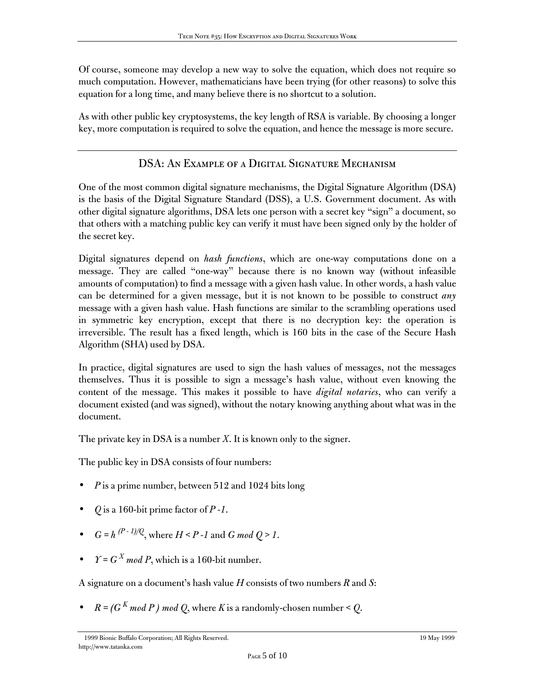Of course, someone may develop a new way to solve the equation, which does not require so much computation. However, mathematicians have been trying (for other reasons) to solve this equation for a long time, and many believe there is no shortcut to a solution.

As with other public key cryptosystems, the key length of RSA is variable. By choosing a longer key, more computation is required to solve the equation, and hence the message is more secure.

## DSA: An Example of a Digital Signature Mechanism

One of the most common digital signature mechanisms, the Digital Signature Algorithm (DSA) is the basis of the Digital Signature Standard (DSS), a U.S. Government document. As with other digital signature algorithms, DSA lets one person with a secret key "sign" a document, so that others with a matching public key can verify it must have been signed only by the holder of the secret key.

Digital signatures depend on *hash functions*, which are one-way computations done on a message. They are called "one-way" because there is no known way (without infeasible amounts of computation) to find a message with a given hash value. In other words, a hash value can be determined for a given message, but it is not known to be possible to construct *any* message with a given hash value. Hash functions are similar to the scrambling operations used in symmetric key encryption, except that there is no decryption key: the operation is irreversible. The result has a fixed length, which is 160 bits in the case of the Secure Hash Algorithm (SHA) used by DSA.

In practice, digital signatures are used to sign the hash values of messages, not the messages themselves. Thus it is possible to sign a message's hash value, without even knowing the content of the message. This makes it possible to have *digital notaries*, who can verify a document existed (and was signed), without the notary knowing anything about what was in the document.

The private key in DSA is a number *X*. It is known only to the signer.

The public key in DSA consists of four numbers:

- *P* is a prime number, between 512 and 1024 bits long
- *Q* is a 160-bit prime factor of *P -1*.
- $G = h^{(P-1)/Q}$ , where  $H \leq P 1$  and  $G \mod Q \geq 1$ .
- $\gamma = G^X \mod P$ , which is a 160-bit number.

A signature on a document's hash value *H* consists of two numbers *R* and *S*:

 $R = (G^{K} \mod P) \mod Q$ , where *K* is a randomly-chosen number < *Q*.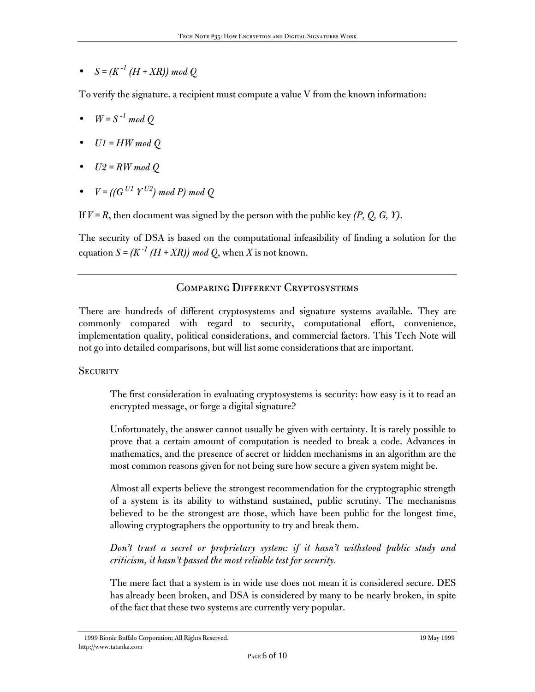•  $S = (K^{-1} (H + XR)) \mod Q$ 

To verify the signature, a recipient must compute a value V from the known information:

- $W = S^{-1} \mod Q$
- *U1 = HW mod Q*
- *U2 = RW mod Q*
- $V = ((G^{UI} Y^{U2}) \mod P) \mod Q$

If  $V = R$ , then document was signed by the person with the public key  $(P, Q, G, Y)$ .

The security of DSA is based on the computational infeasibility of finding a solution for the equation  $S = (K^{-1} (H + XR)) \mod Q$ , when *X* is not known.

### Comparing Different Cryptosystems

There are hundreds of different cryptosystems and signature systems available. They are commonly compared with regard to security, computational effort, convenience, implementation quality, political considerations, and commercial factors. This Tech Note will not go into detailed comparisons, but will list some considerations that are important.

### **SECURITY**

The first consideration in evaluating cryptosystems is security: how easy is it to read an encrypted message, or forge a digital signature?

Unfortunately, the answer cannot usually be given with certainty. It is rarely possible to prove that a certain amount of computation is needed to break a code. Advances in mathematics, and the presence of secret or hidden mechanisms in an algorithm are the most common reasons given for not being sure how secure a given system might be.

Almost all experts believe the strongest recommendation for the cryptographic strength of a system is its ability to withstand sustained, public scrutiny. The mechanisms believed to be the strongest are those, which have been public for the longest time, allowing cryptographers the opportunity to try and break them.

*Don't trust a secret or proprietary system: if it hasn't withstood public study and criticism, it hasn't passed the most reliable test for security.*

The mere fact that a system is in wide use does not mean it is considered secure. DES has already been broken, and DSA is considered by many to be nearly broken, in spite of the fact that these two systems are currently very popular.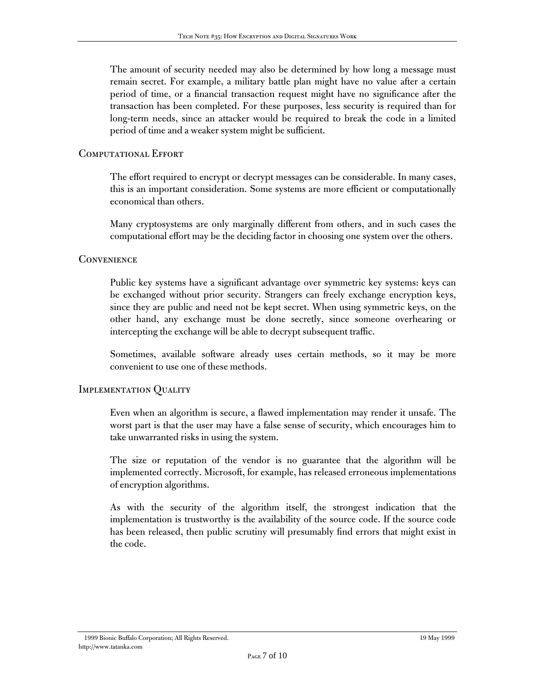The amount of security needed may also be determined by how long a message must remain secret. For example, a military battle plan might have no value after a certain period of time, or a financial transaction request might have no significance after the transaction has been completed. For these purposes, less security is required than for long-term needs, since an attacker would be required to break the code in a limited period of time and a weaker system might be sufficient.

#### COMPUTATIONAL EFFORT

The effort required to encrypt or decrypt messages can be considerable. In many cases, this is an important consideration. Some systems are more efficient or computationally economical than others.

Many cryptosystems are only marginally different from others, and in such cases the computational effort may be the deciding factor in choosing one system over the others.

#### **CONVENIENCE**

Public key systems have a significant advantage over symmetric key systems: keys can be exchanged without prior security. Strangers can freely exchange encryption keys, since they are public and need not be kept secret. When using symmetric keys, on the other hand, any exchange must be done secretly, since someone overhearing or intercepting the exchange will be able to decrypt subsequent traffic.

Sometimes, available software already uses certain methods, so it may be more convenient to use one of these methods.

#### IMPLEMENTATION QUALITY

Even when an algorithm is secure, a flawed implementation may render it unsafe. The worst part is that the user may have a false sense of security, which encourages him to take unwarranted risks in using the system.

The size or reputation of the vendor is no guarantee that the algorithm will be implemented correctly. Microsoft, for example, has released erroneous implementations of encryption algorithms.

As with the security of the algorithm itself, the strongest indication that the implementation is trustworthy is the availability of the source code. If the source code has been released, then public scrutiny will presumably find errors that might exist in the code.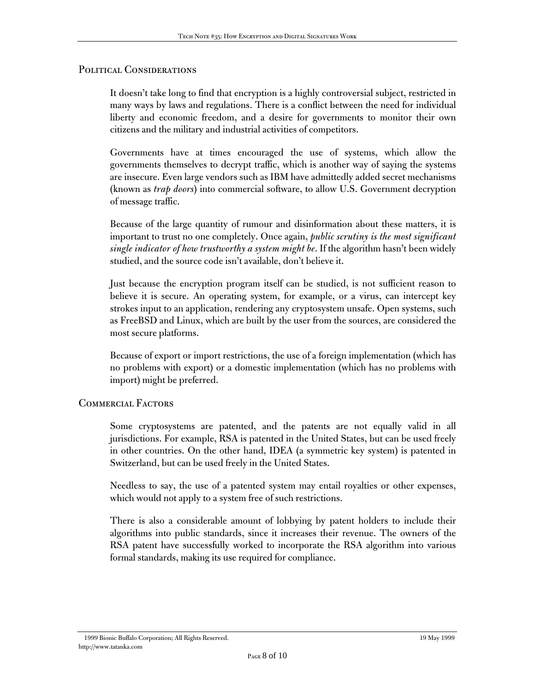#### POLITICAL CONSIDERATIONS

It doesn't take long to find that encryption is a highly controversial subject, restricted in many ways by laws and regulations. There is a conflict between the need for individual liberty and economic freedom, and a desire for governments to monitor their own citizens and the military and industrial activities of competitors.

Governments have at times encouraged the use of systems, which allow the governments themselves to decrypt traffic, which is another way of saying the systems are insecure. Even large vendors such as IBM have admittedly added secret mechanisms (known as *trap doors*) into commercial software, to allow U.S. Government decryption of message traffic.

Because of the large quantity of rumour and disinformation about these matters, it is important to trust no one completely. Once again, *public scrutiny is the most significant single indicator of how trustworthy a system might be*. If the algorithm hasn't been widely studied, and the source code isn't available, don't believe it.

Just because the encryption program itself can be studied, is not sufficient reason to believe it is secure. An operating system, for example, or a virus, can intercept key strokes input to an application, rendering any cryptosystem unsafe. Open systems, such as FreeBSD and Linux, which are built by the user from the sources, are considered the most secure platforms.

Because of export or import restrictions, the use of a foreign implementation (which has no problems with export) or a domestic implementation (which has no problems with import) might be preferred.

#### Commercial Factors

Some cryptosystems are patented, and the patents are not equally valid in all jurisdictions. For example, RSA is patented in the United States, but can be used freely in other countries. On the other hand, IDEA (a symmetric key system) is patented in Switzerland, but can be used freely in the United States.

Needless to say, the use of a patented system may entail royalties or other expenses, which would not apply to a system free of such restrictions.

There is also a considerable amount of lobbying by patent holders to include their algorithms into public standards, since it increases their revenue. The owners of the RSA patent have successfully worked to incorporate the RSA algorithm into various formal standards, making its use required for compliance.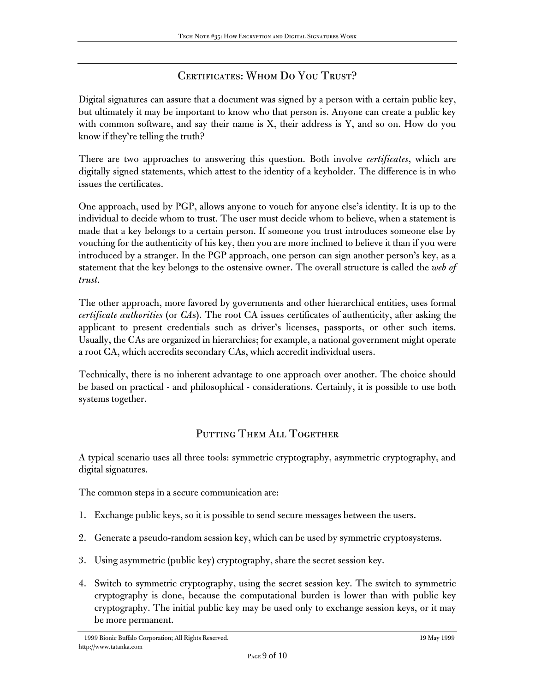## CERTIFICATES: WHOM DO YOU TRUST?

Digital signatures can assure that a document was signed by a person with a certain public key, but ultimately it may be important to know who that person is. Anyone can create a public key with common software, and say their name is X, their address is Y, and so on. How do you know if they're telling the truth?

There are two approaches to answering this question. Both involve *certificates*, which are digitally signed statements, which attest to the identity of a keyholder. The difference is in who issues the certificates.

One approach, used by PGP, allows anyone to vouch for anyone else's identity. It is up to the individual to decide whom to trust. The user must decide whom to believe, when a statement is made that a key belongs to a certain person. If someone you trust introduces someone else by vouching for the authenticity of his key, then you are more inclined to believe it than if you were introduced by a stranger. In the PGP approach, one person can sign another person's key, as a statement that the key belongs to the ostensive owner. The overall structure is called the *web of trust*.

The other approach, more favored by governments and other hierarchical entities, uses formal *certificate authorities* (or *CA*s). The root CA issues certificates of authenticity, after asking the applicant to present credentials such as driver's licenses, passports, or other such items. Usually, the CAs are organized in hierarchies; for example, a national government might operate a root CA, which accredits secondary CAs, which accredit individual users.

Technically, there is no inherent advantage to one approach over another. The choice should be based on practical - and philosophical - considerations. Certainly, it is possible to use both systems together.

### PUTTING THEM ALL TOGETHER

A typical scenario uses all three tools: symmetric cryptography, asymmetric cryptography, and digital signatures.

The common steps in a secure communication are:

- 1. Exchange public keys, so it is possible to send secure messages between the users.
- 2. Generate a pseudo-random session key, which can be used by symmetric cryptosystems.
- 3. Using asymmetric (public key) cryptography, share the secret session key.
- 4. Switch to symmetric cryptography, using the secret session key. The switch to symmetric cryptography is done, because the computational burden is lower than with public key cryptography. The initial public key may be used only to exchange session keys, or it may be more permanent.